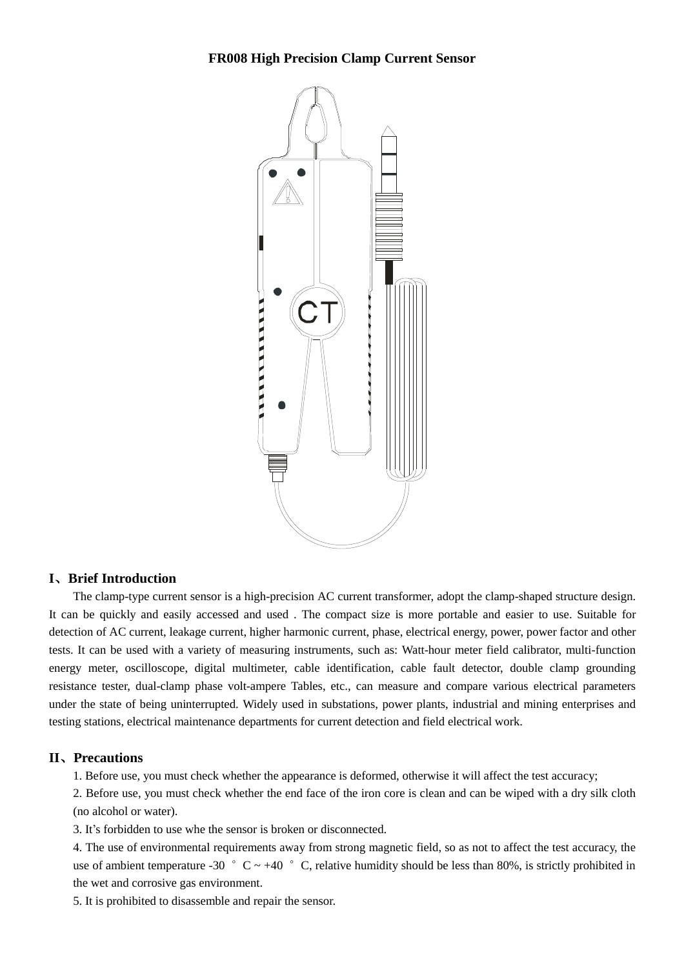### **FR008 High Precision Clamp Current Sensor**



#### **I、Brief Introduction**

The clamp-type current sensor is a high-precision AC current transformer, adopt the clamp-shaped structure design. It can be quickly and easily accessed and used . The compact size is more portable and easier to use. Suitable for detection of AC current, leakage current, higher harmonic current, phase, electrical energy, power, power factor and other tests. It can be used with a variety of measuring instruments, such as: Watt-hour meter field calibrator, multi-function energy meter, oscilloscope, digital multimeter, cable identification, cable fault detector, double clamp grounding resistance tester, dual-clamp phase volt-ampere Tables, etc., can measure and compare various electrical parameters under the state of being uninterrupted. Widely used in substations, power plants, industrial and mining enterprises and testing stations, electrical maintenance departments for current detection and field electrical work.

#### **II、Precautions**

1. Before use, you must check whether the appearance is deformed, otherwise it will affect the test accuracy;

2. Before use, you must check whether the end face of the iron core is clean and can be wiped with a dry silk cloth (no alcohol or water).

3. It's forbidden to use whe the sensor is broken or disconnected.

4. The use of environmental requirements away from strong magnetic field, so as not to affect the test accuracy, the use of ambient temperature -30  $\degree$  C ~ +40  $\degree$  C, relative humidity should be less than 80%, is strictly prohibited in the wet and corrosive gas environment.

5. It is prohibited to disassemble and repair the sensor.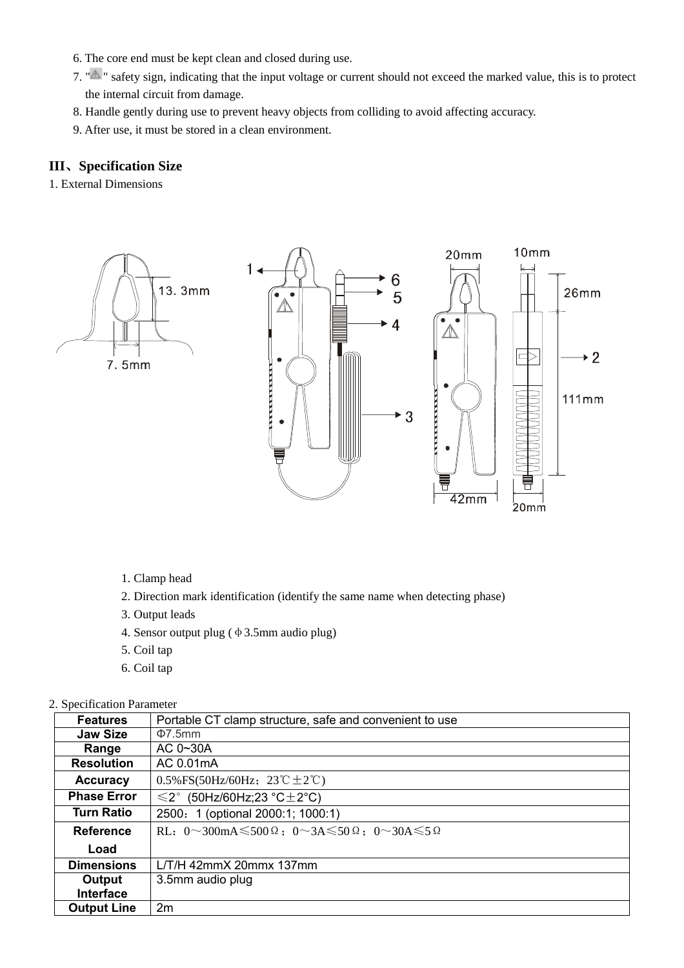- 6. The core end must be kept clean and closed during use.
- 7. "A " safety sign, indicating that the input voltage or current should not exceed the marked value, this is to protect the internal circuit from damage.
- 8. Handle gently during use to prevent heavy objects from colliding to avoid affecting accuracy.
- 9. After use, it must be stored in a clean environment.

# **III、Specification Size**

1. External Dimensions



- 1. Clamp head
- 2. Direction mark identification (identify the same name when detecting phase)
- 3. Output leads
- 4. Sensor output plug (φ3.5mm audio plug)
- 5. Coil tap
- 6. Coil tap

## 2. Specification Parameter

| <b>Features</b>    | Portable CT clamp structure, safe and convenient to use                                                           |
|--------------------|-------------------------------------------------------------------------------------------------------------------|
| <b>Jaw Size</b>    | $\Phi$ 7.5mm                                                                                                      |
| Range              | AC 0~30A                                                                                                          |
| <b>Resolution</b>  | AC 0.01mA                                                                                                         |
| <b>Accuracy</b>    | $0.5\%$ FS(50Hz/60Hz; 23°C $\pm$ 2°C)                                                                             |
| <b>Phase Error</b> | $(50$ Hz/60Hz;23 °C $\pm$ 2°C)<br>$\leqslant$ 2 $^{\circ}$                                                        |
| <b>Turn Ratio</b>  | 2500: 1 (optional 2000:1; 1000:1)                                                                                 |
| <b>Reference</b>   | RL: $0 \sim 300 \text{mA} \le 500 \Omega$ : $0 \sim 3 \text{A} \le 50 \Omega$ : $0 \sim 30 \text{A} \le 5 \Omega$ |
| Load               |                                                                                                                   |
| <b>Dimensions</b>  | L/T/H 42mmX 20mmx 137mm                                                                                           |
| Output             | 3.5mm audio plug                                                                                                  |
| <b>Interface</b>   |                                                                                                                   |
| <b>Output Line</b> | 2m                                                                                                                |